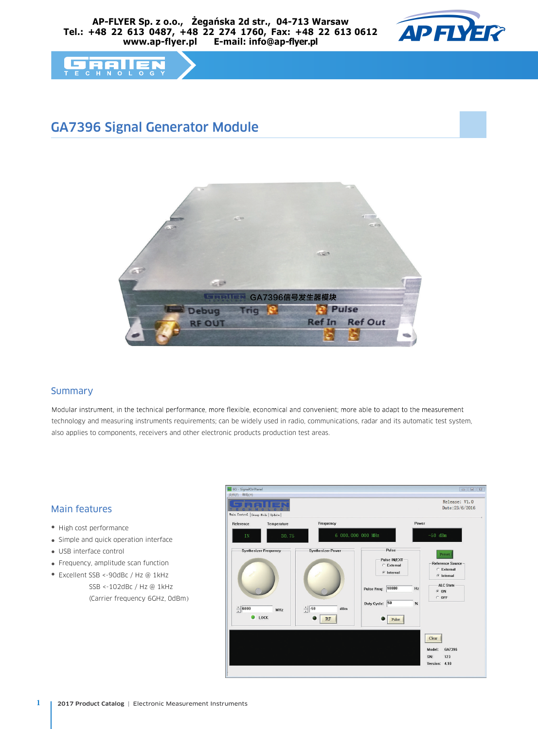



# GA7396 Signal Generator Module



#### Summary

Modular instrument, in the technical performance, more flexible, economical and convenient; more able to adapt to the measurement technology and measuring instruments requirements; can be widely used in radio, communications, radar and its automatic test system, also applies to components, receivers and other electronic products production test areas.

#### Main features

- High cost performance
- Simple and quick operation interface
- USB interface control
- Frequency, amplitude scan function
- Excellent SSB <-90dBc / Hz @ 1kHz SSB <-102dBc / Hz @ 1kHz (Carrier frequency 6GHz, 0dBm)